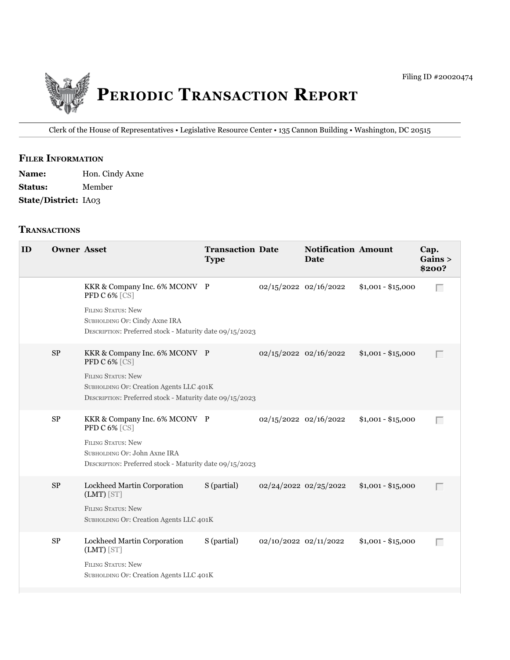

Clerk of the House of Representatives • Legislative Resource Center • 135 Cannon Building • Washington, DC 20515

## **fIler INfOrmATION**

Name: Hon. Cindy Axne **Status:** Member **State/District:** IA03

### **TrANSACTIONS**

| ID | <b>Owner Asset</b> |                                                                                                                                                                                   | <b>Transaction Date</b><br><b>Type</b> |                       | <b>Notification Amount</b><br>Date |                    | Cap.<br>Gains ><br>\$200? |
|----|--------------------|-----------------------------------------------------------------------------------------------------------------------------------------------------------------------------------|----------------------------------------|-----------------------|------------------------------------|--------------------|---------------------------|
|    |                    | KKR & Company Inc. 6% MCONV P<br>PFD C 6% [CS]<br><b>FILING STATUS: New</b><br>SUBHOLDING OF: Cindy Axne IRA<br>DESCRIPTION: Preferred stock - Maturity date 09/15/2023           |                                        |                       | 02/15/2022 02/16/2022              | $$1,001 - $15,000$ | Г                         |
|    | $\rm SP$           | KKR & Company Inc. 6% MCONV P<br>PFD C 6% [CS]<br><b>FILING STATUS: New</b><br>SUBHOLDING OF: Creation Agents LLC 401K<br>DESCRIPTION: Preferred stock - Maturity date 09/15/2023 |                                        |                       | 02/15/2022 02/16/2022              | $$1,001 - $15,000$ | $\Box$                    |
|    | $\rm SP$           | KKR & Company Inc. 6% MCONV P<br>PFD C 6% [CS]<br><b>FILING STATUS: New</b><br>SUBHOLDING OF: John Axne IRA<br>DESCRIPTION: Preferred stock - Maturity date 09/15/2023            |                                        |                       | $02/15/2022$ 02/16/2022            | $$1,001 - $15,000$ | $\Box$                    |
|    | $\rm SP$           | Lockheed Martin Corporation<br>$(LMT)$ [ST]<br><b>FILING STATUS: New</b><br>SUBHOLDING OF: Creation Agents LLC 401K                                                               | S (partial)                            |                       | 02/24/2022 02/25/2022              | $$1,001 - $15,000$ | $\Box$                    |
|    | $\rm SP$           | Lockheed Martin Corporation<br>$(LMT)$ [ST]<br><b>FILING STATUS: New</b><br>SUBHOLDING OF: Creation Agents LLC 401K                                                               | S (partial)                            | 02/10/2022 02/11/2022 |                                    | $$1,001 - $15,000$ | $\Box$                    |